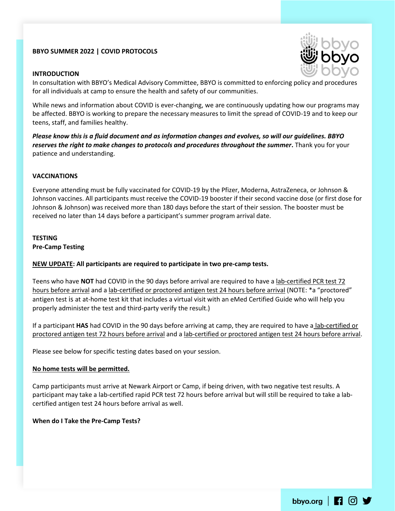# **BBYO SUMMER 2022 | COVID PROTOCOLS**

## **INTRODUCTION**



In consultation with BBYO's Medical Advisory Committee, BBYO is committed to enforcing policy and procedures for all individuals at camp to ensure the health and safety of our communities.

While news and information about COVID is ever-changing, we are continuously updating how our programs may be affected. BBYO is working to prepare the necessary measures to limit the spread of COVID-19 and to keep our teens, staff, and families healthy.

*Please know this is a fluid document and as information changes and evolves, so will our guidelines. BBYO reserves the right to make changes to protocols and procedures throughout the summer***.** Thank you for your patience and understanding.

### **VACCINATIONS**

Everyone attending must be fully vaccinated for COVID-19 by the Pfizer, Moderna, AstraZeneca, or Johnson & Johnson vaccines. All participants must receive the COVID-19 booster if their second vaccine dose (or first dose for Johnson & Johnson) was received more than 180 days before the start of their session. The booster must be received no later than 14 days before a participant's summer program arrival date.

### **TESTING Pre-Camp Testing**

## **NEW UPDATE: All participants are required to participate in two pre-camp tests.**

Teens who have **NOT** had COVID in the 90 days before arrival are required to have a lab-certified PCR test 72 hours before arrival and a lab-certified or proctored antigen test 24 hours before arrival (NOTE: \*a "proctored" antigen test is at at-home test kit that includes a virtual visit with an eMed Certified Guide who will help you properly administer the test and third-party verify the result.)

If a participant **HAS** had COVID in the 90 days before arriving at camp, they are required to have a lab-certified or proctored antigen test 72 hours before arrival and a lab-certified or proctored antigen test 24 hours before arrival.

Please see below for specific testing dates based on your session.

#### **No home tests will be permitted.**

Camp participants must arrive at Newark Airport or Camp, if being driven, with two negative test results. A participant may take a lab-certified rapid PCR test 72 hours before arrival but will still be required to take a labcertified antigen test 24 hours before arrival as well.

#### **When do I Take the Pre-Camp Tests?**

bbyo.org |  $\Box$   $\Box$   $\Box$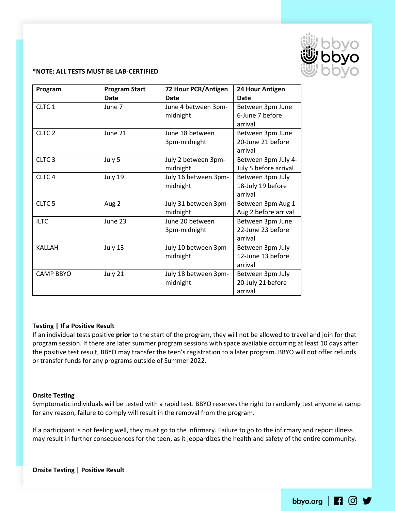

### **\*NOTE: ALL TESTS MUST BE LAB-CERTIFIED**

| Program           | <b>Program Start</b><br>Date | 72 Hour PCR/Antigen<br>Date      | 24 Hour Antigen<br><b>Date</b>                   |
|-------------------|------------------------------|----------------------------------|--------------------------------------------------|
| CLTC 1            | June 7                       | June 4 between 3pm-<br>midnight  | Between 3pm June<br>6-June 7 before<br>arrival   |
| CLTC <sub>2</sub> | June 21                      | June 18 between<br>3pm-midnight  | Between 3pm June<br>20-June 21 before<br>arrival |
| CLTC <sub>3</sub> | July 5                       | July 2 between 3pm-<br>midnight  | Between 3pm July 4-<br>July 5 before arrival     |
| CLTC <sub>4</sub> | July 19                      | July 16 between 3pm-<br>midnight | Between 3pm July<br>18-July 19 before<br>arrival |
| CLTC <sub>5</sub> | Aug 2                        | July 31 between 3pm-<br>midnight | Between 3pm Aug 1-<br>Aug 2 before arrival       |
| <b>ILTC</b>       | June 23                      | June 20 between<br>3pm-midnight  | Between 3pm June<br>22-June 23 before<br>arrival |
| <b>KALLAH</b>     | July 13                      | July 10 between 3pm-<br>midnight | Between 3pm July<br>12-June 13 before<br>arrival |
| <b>CAMP BBYO</b>  | July 21                      | July 18 between 3pm-<br>midnight | Between 3pm July<br>20-July 21 before<br>arrival |

## **Testing | If a Positive Result**

If an individual tests positive **prior** to the start of the program, they will not be allowed to travel and join for that program session. If there are later summer program sessions with space available occurring at least 10 days after the positive test result, BBYO may transfer the teen's registration to a later program. BBYO will not offer refunds or transfer funds for any programs outside of Summer 2022.

#### **Onsite Testing**

Symptomatic individuals will be tested with a rapid test. BBYO reserves the right to randomly test anyone at camp for any reason, failure to comply will result in the removal from the program.

If a participant is not feeling well, they must go to the infirmary. Failure to go to the infirmary and report illness may result in further consequences for the teen, as it jeopardizes the health and safety of the entire community.